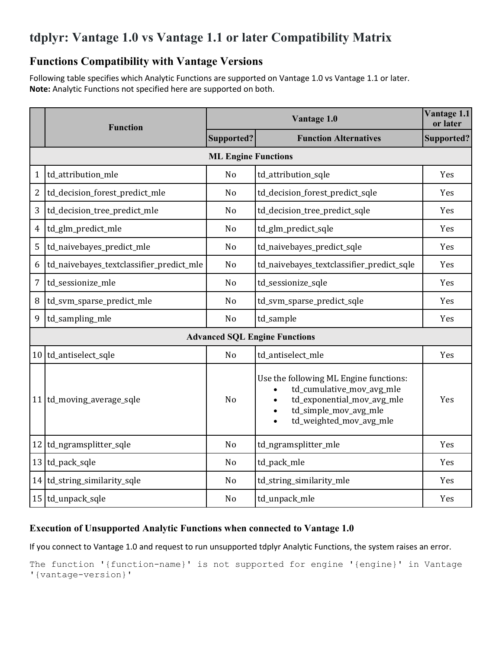# **tdplyr: Vantage 1.0 vs Vantage 1.1 or later Compatibility Matrix**

## **Functions Compatibility with Vantage Versions**

Following table specifies which Analytic Functions are supported on Vantage 1.0 vs Vantage 1.1 or later. **Note:** Analytic Functions not specified here are supported on both.

|                                      | <b>Function</b>                          |                | Vantage 1.1<br>or later                                                                                                                                                                      |            |  |  |  |  |  |  |
|--------------------------------------|------------------------------------------|----------------|----------------------------------------------------------------------------------------------------------------------------------------------------------------------------------------------|------------|--|--|--|--|--|--|
|                                      |                                          | Supported?     | <b>Function Alternatives</b>                                                                                                                                                                 | Supported? |  |  |  |  |  |  |
|                                      | <b>ML Engine Functions</b>               |                |                                                                                                                                                                                              |            |  |  |  |  |  |  |
| $\mathbf{1}$                         | td_attribution_mle                       | No             | td_attribution_sqle                                                                                                                                                                          | Yes        |  |  |  |  |  |  |
| $\overline{2}$                       | td_decision_forest_predict_mle           | N <sub>o</sub> | td_decision_forest_predict_sqle                                                                                                                                                              | Yes        |  |  |  |  |  |  |
| 3                                    | td_decision_tree_predict_mle             | No             | td_decision_tree_predict_sqle                                                                                                                                                                | Yes        |  |  |  |  |  |  |
| 4                                    | td_glm_predict_mle                       | N <sub>o</sub> | td_glm_predict_sqle                                                                                                                                                                          | Yes        |  |  |  |  |  |  |
| 5                                    | td_naivebayes_predict_mle                | No             | td_naivebayes_predict_sqle                                                                                                                                                                   | Yes        |  |  |  |  |  |  |
| 6                                    | td_naivebayes_textclassifier_predict_mle | N <sub>o</sub> | td_naivebayes_textclassifier_predict_sqle                                                                                                                                                    | Yes        |  |  |  |  |  |  |
| 7                                    | td_sessionize_mle                        | No             | td_sessionize_sqle                                                                                                                                                                           | Yes        |  |  |  |  |  |  |
| 8                                    | td_svm_sparse_predict_mle                | N <sub>o</sub> | td_svm_sparse_predict_sqle                                                                                                                                                                   | Yes        |  |  |  |  |  |  |
| 9                                    | td_sampling_mle                          | N <sub>o</sub> | td_sample                                                                                                                                                                                    | Yes        |  |  |  |  |  |  |
| <b>Advanced SQL Engine Functions</b> |                                          |                |                                                                                                                                                                                              |            |  |  |  |  |  |  |
|                                      | 10 td_antiselect_sqle                    | No             | td_antiselect_mle                                                                                                                                                                            | Yes        |  |  |  |  |  |  |
|                                      | 11 td_moving_average_sqle                | No             | Use the following ML Engine functions:<br>td_cumulative_mov_avg_mle<br>td_exponential_mov_avg_mle<br>$\bullet$<br>td_simple_mov_avg_mle<br>$\bullet$<br>td_weighted_mov_avg_mle<br>$\bullet$ | Yes        |  |  |  |  |  |  |
| 12                                   | td_ngramsplitter_sqle                    | N <sub>o</sub> | td_ngramsplitter_mle                                                                                                                                                                         | Yes        |  |  |  |  |  |  |
|                                      | 13 td_pack_sqle                          | No             | td_pack_mle                                                                                                                                                                                  | Yes        |  |  |  |  |  |  |
|                                      | 14 td_string_similarity_sqle             | No             | td_string_similarity_mle                                                                                                                                                                     | Yes        |  |  |  |  |  |  |
|                                      | 15 td_unpack_sqle                        | No             | td_unpack_mle                                                                                                                                                                                | Yes        |  |  |  |  |  |  |

#### **Execution of Unsupported Analytic Functions when connected to Vantage 1.0**

If you connect to Vantage 1.0 and request to run unsupported tdplyr Analytic Functions, the system raises an error.

The function '{function-name}' is not supported for engine '{engine}' in Vantage '{vantage-version}'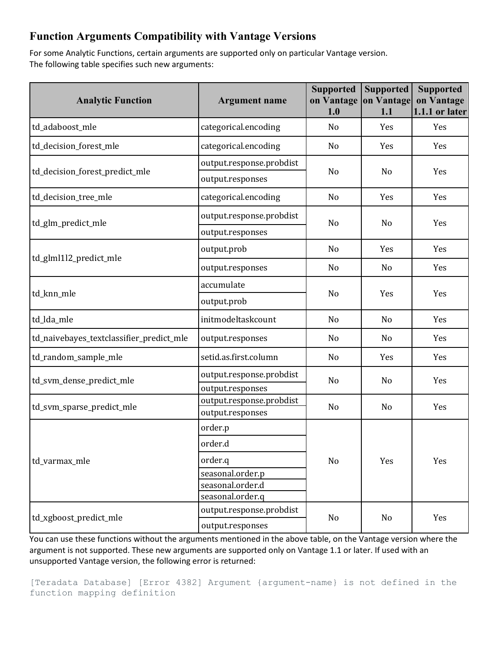## **Function Arguments Compatibility with Vantage Versions**

For some Analytic Functions, certain arguments are supported only on particular Vantage version. The following table specifies such new arguments:

| <b>Analytic Function</b>                 | <b>Argument name</b>                         | <b>Supported</b><br>on Vantage<br>1.0                                | <b>Supported</b><br>on Vantage<br>1.1 | <b>Supported</b><br>on Vantage<br>1.1.1 or later |
|------------------------------------------|----------------------------------------------|----------------------------------------------------------------------|---------------------------------------|--------------------------------------------------|
| td_adaboost_mle                          | categorical.encoding                         | N <sub>0</sub>                                                       | Yes                                   | Yes                                              |
| td_decision_forest_mle                   | categorical.encoding                         | No                                                                   | Yes                                   | Yes                                              |
|                                          | output.response.probdist                     |                                                                      |                                       |                                                  |
| td_decision_forest_predict_mle           | output.responses                             |                                                                      | N <sub>o</sub>                        | Yes                                              |
| td_decision_tree_mle                     | categorical.encoding                         | No                                                                   | Yes                                   | Yes                                              |
| td_glm_predict_mle                       | output.response.probdist                     | N <sub>o</sub><br>N <sub>o</sub><br>No<br>N <sub>o</sub><br>No<br>No | N <sub>o</sub>                        | Yes                                              |
|                                          | output.responses                             |                                                                      |                                       |                                                  |
|                                          | output.prob                                  |                                                                      | Yes                                   | Yes                                              |
| td_glml1l2_predict_mle                   | output.responses                             |                                                                      | No                                    | Yes                                              |
|                                          | accumulate                                   |                                                                      | Yes                                   | Yes                                              |
| td knn mle                               | output.prob                                  |                                                                      |                                       |                                                  |
| td_lda_mle                               | initmodeltaskcount                           |                                                                      | No                                    | Yes                                              |
| td_naivebayes_textclassifier_predict_mle | output.responses                             |                                                                      | N <sub>o</sub>                        | Yes                                              |
| td_random_sample_mle                     | setid.as.first.column                        | No                                                                   | Yes                                   | Yes                                              |
| td_svm_dense_predict_mle                 | output.response.probdist                     |                                                                      | N <sub>o</sub>                        | Yes                                              |
|                                          | output.responses                             | No<br>N <sub>o</sub><br>No<br>No<br>No                               |                                       |                                                  |
| td_svm_sparse_predict_mle                | output.response.probdist<br>output.responses |                                                                      | No                                    | Yes                                              |
|                                          | order.p                                      |                                                                      |                                       |                                                  |
|                                          | order.d                                      |                                                                      | Yes                                   | Yes                                              |
| td_varmax_mle                            | order.q                                      |                                                                      |                                       |                                                  |
|                                          | seasonal.order.p                             |                                                                      |                                       |                                                  |
|                                          | seasonal.order.d                             |                                                                      |                                       |                                                  |
|                                          | seasonal.order.q                             |                                                                      |                                       |                                                  |
| td_xgboost_predict_mle                   | output.response.probdist                     |                                                                      | No                                    | Yes                                              |
|                                          | output.responses                             |                                                                      |                                       |                                                  |

You can use these functions without the arguments mentioned in the above table, on the Vantage version where the argument is not supported. These new arguments are supported only on Vantage 1.1 or later. If used with an unsupported Vantage version, the following error is returned:

[Teradata Database] [Error 4382] Argument {argument-name} is not defined in the function mapping definition